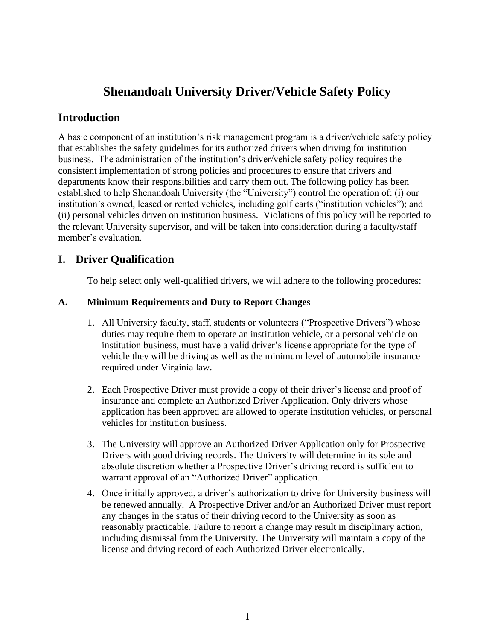# **Shenandoah University Driver/Vehicle Safety Policy**

## **Introduction**

A basic component of an institution's risk management program is a driver/vehicle safety policy that establishes the safety guidelines for its authorized drivers when driving for institution business. The administration of the institution's driver/vehicle safety policy requires the consistent implementation of strong policies and procedures to ensure that drivers and departments know their responsibilities and carry them out. The following policy has been established to help Shenandoah University (the "University") control the operation of: (i) our institution's owned, leased or rented vehicles, including golf carts ("institution vehicles"); and (ii) personal vehicles driven on institution business. Violations of this policy will be reported to the relevant University supervisor, and will be taken into consideration during a faculty/staff member's evaluation.

## **I. Driver Qualification**

To help select only well-qualified drivers, we will adhere to the following procedures:

#### **A. Minimum Requirements and Duty to Report Changes**

- 1. All University faculty, staff, students or volunteers ("Prospective Drivers") whose duties may require them to operate an institution vehicle, or a personal vehicle on institution business, must have a valid driver's license appropriate for the type of vehicle they will be driving as well as the minimum level of automobile insurance required under Virginia law.
- 2. Each Prospective Driver must provide a copy of their driver's license and proof of insurance and complete an Authorized Driver Application. Only drivers whose application has been approved are allowed to operate institution vehicles, or personal vehicles for institution business.
- 3. The University will approve an Authorized Driver Application only for Prospective Drivers with good driving records. The University will determine in its sole and absolute discretion whether a Prospective Driver's driving record is sufficient to warrant approval of an "Authorized Driver" application.
- 4. Once initially approved, a driver's authorization to drive for University business will be renewed annually. A Prospective Driver and/or an Authorized Driver must report any changes in the status of their driving record to the University as soon as reasonably practicable. Failure to report a change may result in disciplinary action, including dismissal from the University. The University will maintain a copy of the license and driving record of each Authorized Driver electronically.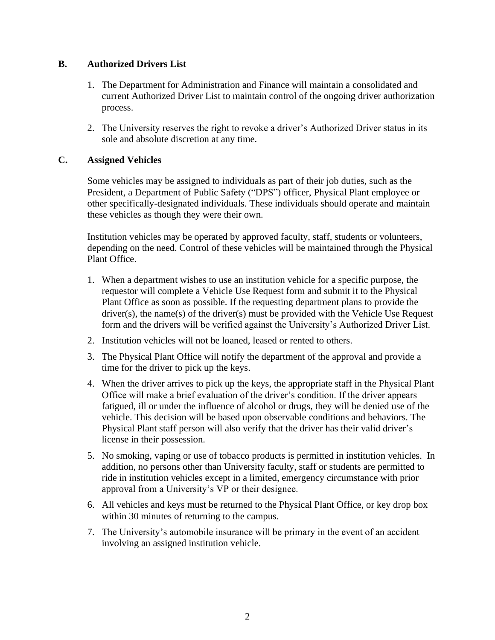#### **B. Authorized Drivers List**

- 1. The Department for Administration and Finance will maintain a consolidated and current Authorized Driver List to maintain control of the ongoing driver authorization process.
- 2. The University reserves the right to revoke a driver's Authorized Driver status in its sole and absolute discretion at any time.

#### **C. Assigned Vehicles**

Some vehicles may be assigned to individuals as part of their job duties, such as the President, a Department of Public Safety ("DPS") officer, Physical Plant employee or other specifically-designated individuals. These individuals should operate and maintain these vehicles as though they were their own.

Institution vehicles may be operated by approved faculty, staff, students or volunteers, depending on the need. Control of these vehicles will be maintained through the Physical Plant Office.

- 1. When a department wishes to use an institution vehicle for a specific purpose, the requestor will complete a Vehicle Use Request form and submit it to the Physical Plant Office as soon as possible. If the requesting department plans to provide the driver(s), the name(s) of the driver(s) must be provided with the Vehicle Use Request form and the drivers will be verified against the University's Authorized Driver List.
- 2. Institution vehicles will not be loaned, leased or rented to others.
- 3. The Physical Plant Office will notify the department of the approval and provide a time for the driver to pick up the keys.
- 4. When the driver arrives to pick up the keys, the appropriate staff in the Physical Plant Office will make a brief evaluation of the driver's condition. If the driver appears fatigued, ill or under the influence of alcohol or drugs, they will be denied use of the vehicle. This decision will be based upon observable conditions and behaviors. The Physical Plant staff person will also verify that the driver has their valid driver's license in their possession.
- 5. No smoking, vaping or use of tobacco products is permitted in institution vehicles. In addition, no persons other than University faculty, staff or students are permitted to ride in institution vehicles except in a limited, emergency circumstance with prior approval from a University's VP or their designee.
- 6. All vehicles and keys must be returned to the Physical Plant Office, or key drop box within 30 minutes of returning to the campus.
- 7. The University's automobile insurance will be primary in the event of an accident involving an assigned institution vehicle.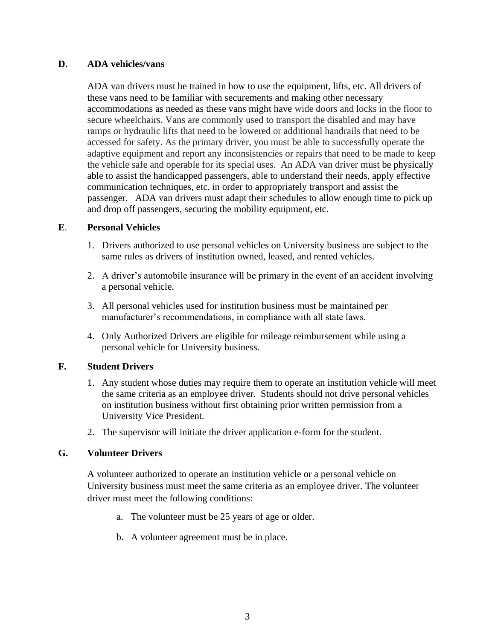#### **D. ADA vehicles/vans**

ADA van drivers must be trained in how to use the equipment, lifts, etc. All drivers of these vans need to be familiar with securements and making other necessary accommodations as needed as these vans might have wide doors and locks in the floor to secure wheelchairs. Vans are commonly used to transport the disabled and may have ramps or hydraulic lifts that need to be lowered or additional handrails that need to be accessed for safety. As the primary driver, you must be able to successfully operate the adaptive equipment and report any inconsistencies or repairs that need to be made to keep the vehicle safe and operable for its special uses. An ADA van driver must be physically able to assist the handicapped passengers, able to understand their needs, apply effective communication techniques, etc. in order to appropriately transport and assist the passenger. ADA van drivers must adapt their schedules to allow enough time to pick up and drop off passengers, securing the mobility equipment, etc.

#### **E**. **Personal Vehicles**

- 1. Drivers authorized to use personal vehicles on University business are subject to the same rules as drivers of institution owned, leased, and rented vehicles.
- 2. A driver's automobile insurance will be primary in the event of an accident involving a personal vehicle.
- 3. All personal vehicles used for institution business must be maintained per manufacturer's recommendations, in compliance with all state laws.
- 4. Only Authorized Drivers are eligible for mileage reimbursement while using a personal vehicle for University business.

#### **F. Student Drivers**

- 1. Any student whose duties may require them to operate an institution vehicle will meet the same criteria as an employee driver. Students should not drive personal vehicles on institution business without first obtaining prior written permission from a University Vice President.
- 2. The supervisor will initiate the driver application e-form for the student.

#### **G. Volunteer Drivers**

A volunteer authorized to operate an institution vehicle or a personal vehicle on University business must meet the same criteria as an employee driver. The volunteer driver must meet the following conditions:

- a. The volunteer must be 25 years of age or older.
- b. A volunteer agreement must be in place.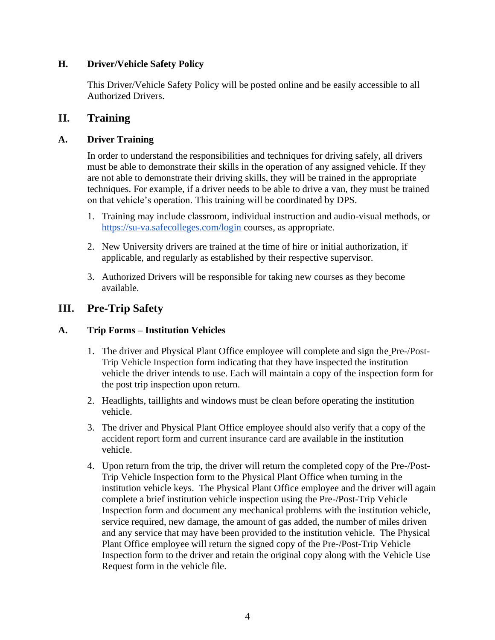#### **H. Driver/Vehicle Safety Policy**

This Driver/Vehicle Safety Policy will be posted online and be easily accessible to all Authorized Drivers.

### **II. Training**

### **A. Driver Training**

In order to understand the responsibilities and techniques for driving safely, all drivers must be able to demonstrate their skills in the operation of any assigned vehicle. If they are not able to demonstrate their driving skills, they will be trained in the appropriate techniques. For example, if a driver needs to be able to drive a van, they must be trained on that vehicle's operation. This training will be coordinated by DPS.

- 1. Training may include classroom, individual instruction and audio-visual methods, or <https://su-va.safecolleges.com/login> courses, as appropriate.
- 2. New University drivers are trained at the time of hire or initial authorization, if applicable, and regularly as established by their respective supervisor.
- 3. Authorized Drivers will be responsible for taking new courses as they become available.

## **III. Pre-Trip Safety**

#### **A. Trip Forms – Institution Vehicles**

- 1. The driver and Physical Plant Office employee will complete and sign the [Pre-/Post-](https://www.eiia.org/assets/memberitem/12-07-Vehicle-Pre-Post-Trip-Inspection-form.doc)[Trip Vehicle Inspection](https://www.eiia.org/assets/memberitem/12-07-Vehicle-Pre-Post-Trip-Inspection-form.doc) form indicating that they have inspected the institution vehicle the driver intends to use. Each will maintain a copy of the inspection form for the post trip inspection upon return.
- 2. Headlights, taillights and windows must be clean before operating the institution vehicle.
- 3. The driver and Physical Plant Office employee should also verify that a copy of the [accident report form](https://www.eiia.org/assets/memberitem/12-04-Sample-Auto-Loss-Notice.doc) and current [insurance card](https://www.eiia.org/assets/memberitem/12-08-Sample-Insurance-Card.doc) are available in the institution vehicle.
- 4. Upon return from the trip, the driver will return the completed copy of the Pre-/Post-Trip Vehicle Inspection form to the Physical Plant Office when turning in the institution vehicle keys. The Physical Plant Office employee and the driver will again complete a brief institution vehicle inspection using the Pre-/Post-Trip Vehicle Inspection form and document any mechanical problems with the institution vehicle, service required, new damage, the amount of gas added, the number of miles driven and any service that may have been provided to the institution vehicle. The Physical Plant Office employee will return the signed copy of the Pre-/Post-Trip Vehicle Inspection form to the driver and retain the original copy along with the Vehicle Use Request form in the vehicle file.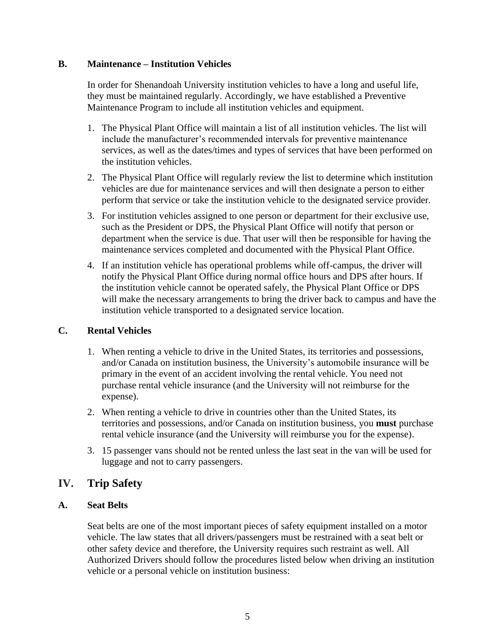#### **B. Maintenance – Institution Vehicles**

In order for Shenandoah University institution vehicles to have a long and useful life, they must be maintained regularly. Accordingly, we have established a Preventive Maintenance Program to include all institution vehicles and equipment.

- 1. The Physical Plant Office will maintain a list of all institution vehicles. The list will include the manufacturer's recommended intervals for preventive maintenance services, as well as the dates/times and types of services that have been performed on the institution vehicles.
- 2. The Physical Plant Office will regularly review the list to determine which institution vehicles are due for maintenance services and will then designate a person to either perform that service or take the institution vehicle to the designated service provider.
- 3. For institution vehicles assigned to one person or department for their exclusive use, such as the President or DPS, the Physical Plant Office will notify that person or department when the service is due. That user will then be responsible for having the maintenance services completed and documented with the Physical Plant Office.
- 4. If an institution vehicle has operational problems while off-campus, the driver will notify the Physical Plant Office during normal office hours and DPS after hours. If the institution vehicle cannot be operated safely, the Physical Plant Office or DPS will make the necessary arrangements to bring the driver back to campus and have the institution vehicle transported to a designated service location.

#### **C. Rental Vehicles**

- 1. When renting a vehicle to drive in the United States, its territories and possessions, and/or Canada on institution business, the University's automobile insurance will be primary in the event of an accident involving the rental vehicle. You need not purchase rental vehicle insurance (and the University will not reimburse for the expense).
- 2. When renting a vehicle to drive in countries other than the United States, its territories and possessions, and/or Canada on institution business, you **must** purchase rental vehicle insurance (and the University will reimburse you for the expense).
- 3. 15 passenger vans should not be rented unless the last seat in the van will be used for luggage and not to carry passengers.

## **IV. Trip Safety**

#### **A. Seat Belts**

Seat belts are one of the most important pieces of safety equipment installed on a motor vehicle. The law states that all drivers/passengers must be restrained with a seat belt or other safety device and therefore, the University requires such restraint as well. All Authorized Drivers should follow the procedures listed below when driving an institution vehicle or a personal vehicle on institution business: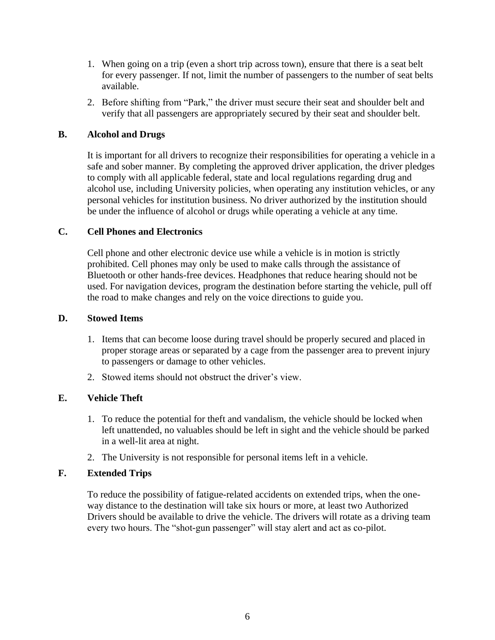- 1. When going on a trip (even a short trip across town), ensure that there is a seat belt for every passenger. If not, limit the number of passengers to the number of seat belts available.
- 2. Before shifting from "Park," the driver must secure their seat and shoulder belt and verify that all passengers are appropriately secured by their seat and shoulder belt.

#### **B. Alcohol and Drugs**

It is important for all drivers to recognize their responsibilities for operating a vehicle in a safe and sober manner. By completing the approved driver application, the driver pledges to comply with all applicable federal, state and local regulations regarding drug and alcohol use, including University policies, when operating any institution vehicles, or any personal vehicles for institution business. No driver authorized by the institution should be under the influence of alcohol or drugs while operating a vehicle at any time.

#### **C. Cell Phones and Electronics**

Cell phone and other electronic device use while a vehicle is in motion is strictly prohibited. Cell phones may only be used to make calls through the assistance of Bluetooth or other hands-free devices. Headphones that reduce hearing should not be used. For navigation devices, program the destination before starting the vehicle, pull off the road to make changes and rely on the voice directions to guide you.

#### **D. Stowed Items**

- 1. Items that can become loose during travel should be properly secured and placed in proper storage areas or separated by a cage from the passenger area to prevent injury to passengers or damage to other vehicles.
- 2. Stowed items should not obstruct the driver's view.

#### **E. Vehicle Theft**

- 1. To reduce the potential for theft and vandalism, the vehicle should be locked when left unattended, no valuables should be left in sight and the vehicle should be parked in a well-lit area at night.
- 2. The University is not responsible for personal items left in a vehicle.

#### **F. Extended Trips**

To reduce the possibility of fatigue-related accidents on extended trips, when the oneway distance to the destination will take six hours or more, at least two Authorized Drivers should be available to drive the vehicle. The drivers will rotate as a driving team every two hours. The "shot-gun passenger" will stay alert and act as co-pilot.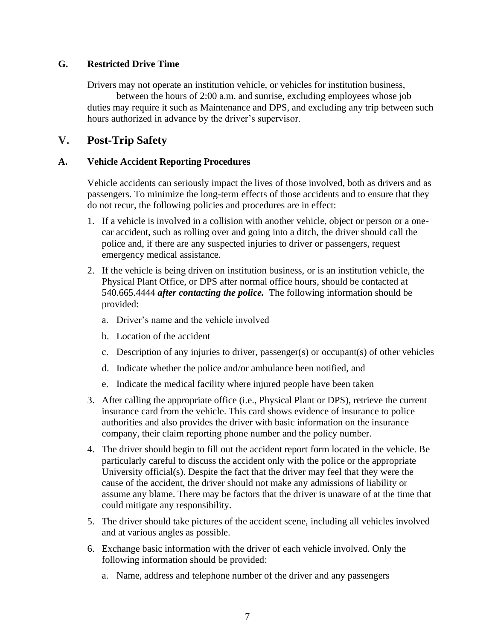#### **G. Restricted Drive Time**

Drivers may not operate an institution vehicle, or vehicles for institution business,

between the hours of 2:00 a.m. and sunrise, excluding employees whose job duties may require it such as Maintenance and DPS, and excluding any trip between such hours authorized in advance by the driver's supervisor.

## **V. Post-Trip Safety**

#### **A. Vehicle Accident Reporting Procedures**

Vehicle accidents can seriously impact the lives of those involved, both as drivers and as passengers. To minimize the long-term effects of those accidents and to ensure that they do not recur, the following policies and procedures are in effect:

- 1. If a vehicle is involved in a collision with another vehicle, object or person or a onecar accident, such as rolling over and going into a ditch, the driver should call the police and, if there are any suspected injuries to driver or passengers, request emergency medical assistance.
- 2. If the vehicle is being driven on institution business, or is an institution vehicle, the Physical Plant Office, or DPS after normal office hours, should be contacted at 540.665.4444 *after contacting the police.* The following information should be provided:
	- a. Driver's name and the vehicle involved
	- b. Location of the accident
	- c. Description of any injuries to driver, passenger(s) or occupant(s) of other vehicles
	- d. Indicate whether the police and/or ambulance been notified, and
	- e. Indicate the medical facility where injured people have been taken
- 3. After calling the appropriate office (i.e., Physical Plant or DPS), retrieve the current insurance card from the vehicle. This card shows evidence of insurance to police authorities and also provides the driver with basic information on the insurance company, their claim reporting phone number and the policy number.
- 4. The driver should begin to fill out the accident report form located in the vehicle. Be particularly careful to discuss the accident only with the police or the appropriate University official(s). Despite the fact that the driver may feel that they were the cause of the accident, the driver should not make any admissions of liability or assume any blame. There may be factors that the driver is unaware of at the time that could mitigate any responsibility.
- 5. The driver should take pictures of the accident scene, including all vehicles involved and at various angles as possible.
- 6. Exchange basic information with the driver of each vehicle involved. Only the following information should be provided:
	- a. Name, address and telephone number of the driver and any passengers